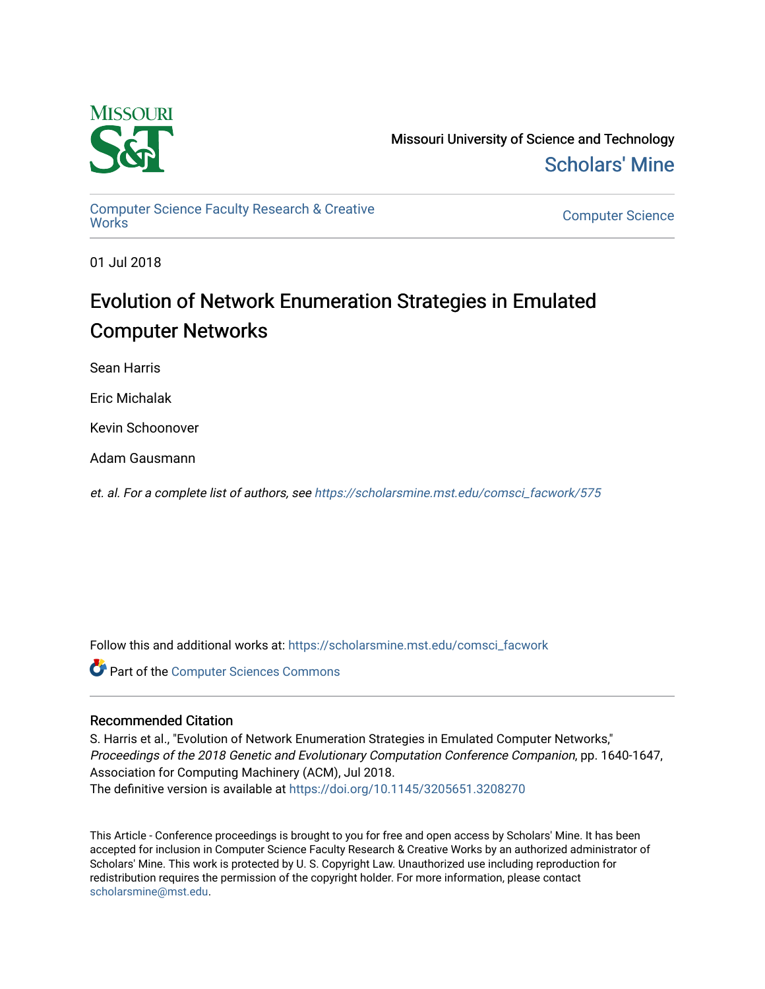

Missouri University of Science and Technology [Scholars' Mine](https://scholarsmine.mst.edu/) 

[Computer Science Faculty Research & Creative](https://scholarsmine.mst.edu/comsci_facwork) 

**Computer Science** 

01 Jul 2018

# Evolution of Network Enumeration Strategies in Emulated Computer Networks

Sean Harris

Eric Michalak

Kevin Schoonover

Adam Gausmann

et. al. For a complete list of authors, see [https://scholarsmine.mst.edu/comsci\\_facwork/575](https://scholarsmine.mst.edu/comsci_facwork/575) 

Follow this and additional works at: [https://scholarsmine.mst.edu/comsci\\_facwork](https://scholarsmine.mst.edu/comsci_facwork?utm_source=scholarsmine.mst.edu%2Fcomsci_facwork%2F575&utm_medium=PDF&utm_campaign=PDFCoverPages) 

**Part of the [Computer Sciences Commons](http://network.bepress.com/hgg/discipline/142?utm_source=scholarsmine.mst.edu%2Fcomsci_facwork%2F575&utm_medium=PDF&utm_campaign=PDFCoverPages)** 

## Recommended Citation

S. Harris et al., "Evolution of Network Enumeration Strategies in Emulated Computer Networks," Proceedings of the 2018 Genetic and Evolutionary Computation Conference Companion, pp. 1640-1647, Association for Computing Machinery (ACM), Jul 2018. The definitive version is available at <https://doi.org/10.1145/3205651.3208270>

This Article - Conference proceedings is brought to you for free and open access by Scholars' Mine. It has been accepted for inclusion in Computer Science Faculty Research & Creative Works by an authorized administrator of Scholars' Mine. This work is protected by U. S. Copyright Law. Unauthorized use including reproduction for redistribution requires the permission of the copyright holder. For more information, please contact [scholarsmine@mst.edu.](mailto:scholarsmine@mst.edu)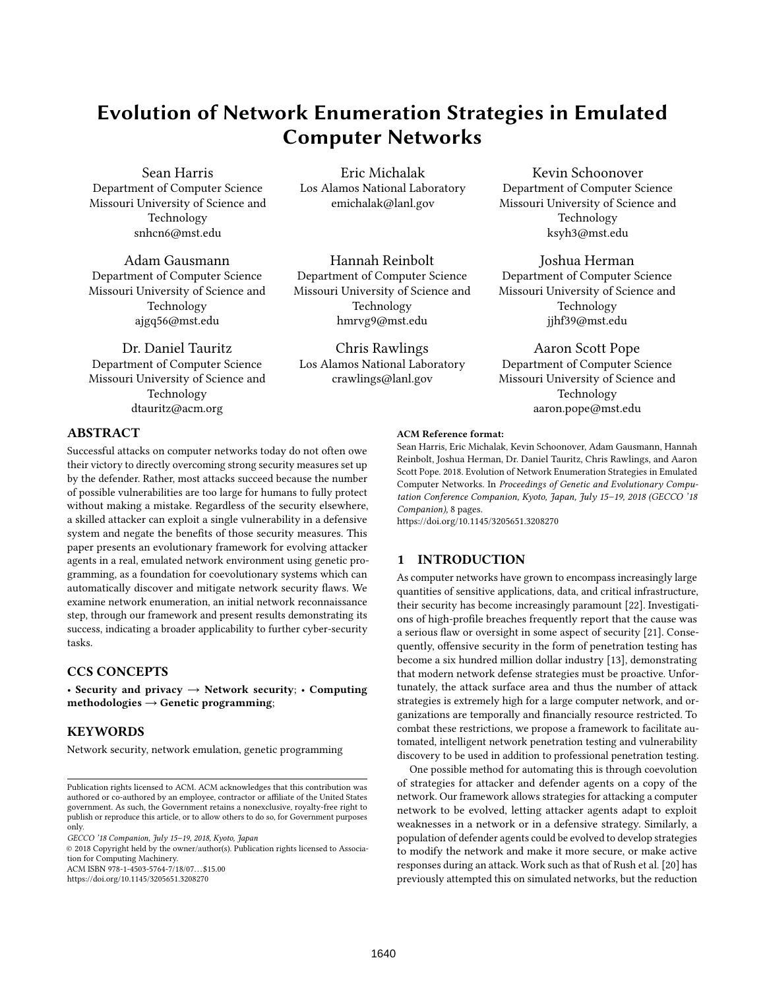## Evolution of Network Enumeration Strategies in Emulated Computer Networks

Sean Harris Department of Computer Science Missouri University of Science and Technology snhcn6@mst.edu

Adam Gausmann Department of Computer Science Missouri University of Science and Technology ajgq56@mst.edu

Dr. Daniel Tauritz Department of Computer Science Missouri University of Science and Technology dtauritz@acm.org

## ABSTRACT

Successful attacks on computer networks today do not often owe their victory to directly overcoming strong security measures set up by the defender. Rather, most attacks succeed because the number of possible vulnerabilities are too large for humans to fully protect without making a mistake. Regardless of the security elsewhere, a skilled attacker can exploit a single vulnerability in a defensive system and negate the benefits of those security measures. This paper presents an evolutionary framework for evolving attacker agents in a real, emulated network environment using genetic programming, as a foundation for coevolutionary systems which can automatically discover and mitigate network security flaws. We examine network enumeration, an initial network reconnaissance step, through our framework and present results demonstrating its success, indicating a broader applicability to further cyber-security tasks.

## CCS CONCEPTS

• Security and privacy  $\rightarrow$  Network security; • Computing  $methodologies \rightarrow Genetic programming;$ 

#### **KEYWORDS**

Network security, network emulation, genetic programming

© 2018 Copyright held by the owner/author(s). Publication rights licensed to Association for Computing Machinery.

ACM ISBN 978-1-4503-5764-7/18/07. . . \$15.00

<https://doi.org/10.1145/3205651.3208270>

Eric Michalak Los Alamos National Laboratory emichalak@lanl.gov

Hannah Reinbolt Department of Computer Science Missouri University of Science and Technology hmrvg9@mst.edu

Chris Rawlings Los Alamos National Laboratory crawlings@lanl.gov

Kevin Schoonover Department of Computer Science Missouri University of Science and Technology ksyh3@mst.edu

Joshua Herman Department of Computer Science Missouri University of Science and Technology jjhf39@mst.edu

Aaron Scott Pope Department of Computer Science Missouri University of Science and Technology aaron.pope@mst.edu

#### ACM Reference format:

Sean Harris, Eric Michalak, Kevin Schoonover, Adam Gausmann, Hannah Reinbolt, Joshua Herman, Dr. Daniel Tauritz, Chris Rawlings, and Aaron Scott Pope. 2018. Evolution of Network Enumeration Strategies in Emulated Computer Networks. In Proceedings of Genetic and Evolutionary Computation Conference Companion, Kyoto, Japan, July 15–19, 2018 (GECCO '18 Companion), [8](#page-8-0) pages.

<https://doi.org/10.1145/3205651.3208270>

## 1 INTRODUCTION

As computer networks have grown to encompass increasingly large quantities of sensitive applications, data, and critical infrastructure, their security has become increasingly paramount [\[22\]](#page-8-1). Investigations of high-profile breaches frequently report that the cause was a serious flaw or oversight in some aspect of security [\[21\]](#page-8-2). Consequently, offensive security in the form of penetration testing has become a six hundred million dollar industry [\[13\]](#page-8-3), demonstrating that modern network defense strategies must be proactive. Unfortunately, the attack surface area and thus the number of attack strategies is extremely high for a large computer network, and organizations are temporally and financially resource restricted. To combat these restrictions, we propose a framework to facilitate automated, intelligent network penetration testing and vulnerability discovery to be used in addition to professional penetration testing.

One possible method for automating this is through coevolution of strategies for attacker and defender agents on a copy of the network. Our framework allows strategies for attacking a computer network to be evolved, letting attacker agents adapt to exploit weaknesses in a network or in a defensive strategy. Similarly, a population of defender agents could be evolved to develop strategies to modify the network and make it more secure, or make active responses during an attack. Work such as that of Rush et al. [\[20\]](#page-8-4) has previously attempted this on simulated networks, but the reduction

Publication rights licensed to ACM. ACM acknowledges that this contribution was authored or co-authored by an employee, contractor or affiliate of the United States government. As such, the Government retains a nonexclusive, royalty-free right to publish or reproduce this article, or to allow others to do so, for Government purposes only.

GECCO '18 Companion, July 15–19, 2018, Kyoto, Japan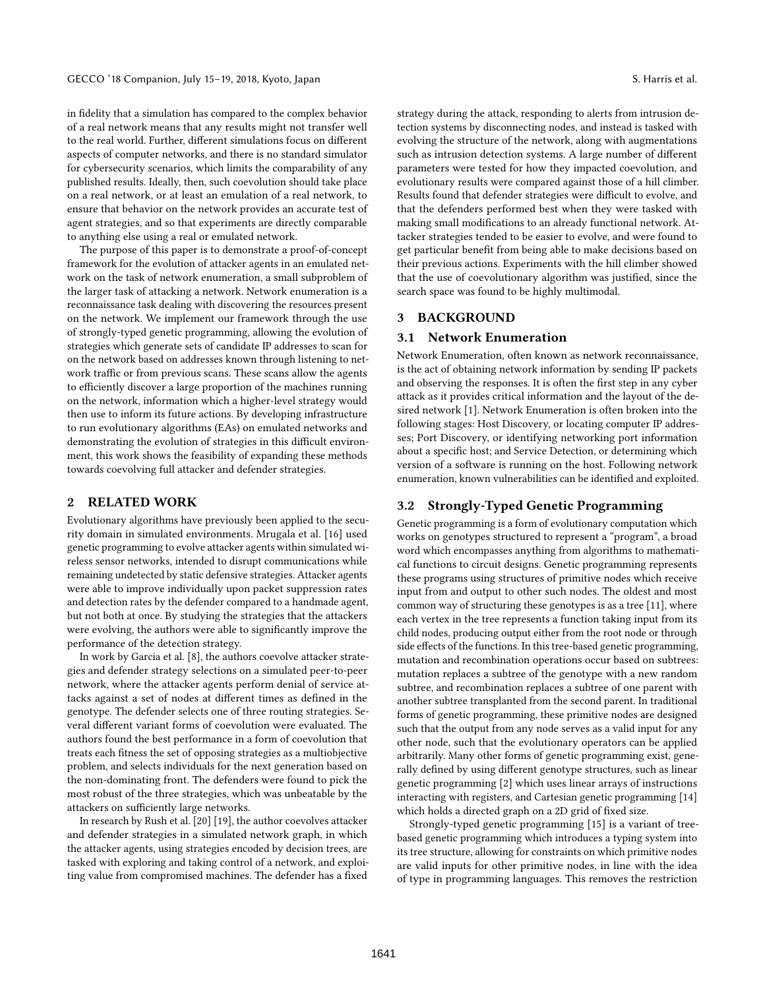in fidelity that a simulation has compared to the complex behavior of a real network means that any results might not transfer well to the real world. Further, different simulations focus on different aspects of computer networks, and there is no standard simulator for cybersecurity scenarios, which limits the comparability of any published results. Ideally, then, such coevolution should take place on a real network, or at least an emulation of a real network, to ensure that behavior on the network provides an accurate test of agent strategies, and so that experiments are directly comparable to anything else using a real or emulated network.

The purpose of this paper is to demonstrate a proof-of-concept framework for the evolution of attacker agents in an emulated network on the task of network enumeration, a small subproblem of the larger task of attacking a network. Network enumeration is a reconnaissance task dealing with discovering the resources present on the network. We implement our framework through the use of strongly-typed genetic programming, allowing the evolution of strategies which generate sets of candidate IP addresses to scan for on the network based on addresses known through listening to network traffic or from previous scans. These scans allow the agents to efficiently discover a large proportion of the machines running on the network, information which a higher-level strategy would then use to inform its future actions. By developing infrastructure to run evolutionary algorithms (EAs) on emulated networks and demonstrating the evolution of strategies in this difficult environment, this work shows the feasibility of expanding these methods towards coevolving full attacker and defender strategies.

## 2 RELATED WORK

Evolutionary algorithms have previously been applied to the security domain in simulated environments. Mrugala et al. [\[16\]](#page-8-5) used genetic programming to evolve attacker agents within simulated wireless sensor networks, intended to disrupt communications while remaining undetected by static defensive strategies. Attacker agents were able to improve individually upon packet suppression rates and detection rates by the defender compared to a handmade agent, but not both at once. By studying the strategies that the attackers were evolving, the authors were able to significantly improve the performance of the detection strategy.

In work by Garcia et al. [\[8\]](#page-8-6), the authors coevolve attacker strategies and defender strategy selections on a simulated peer-to-peer network, where the attacker agents perform denial of service attacks against a set of nodes at different times as defined in the genotype. The defender selects one of three routing strategies. Several different variant forms of coevolution were evaluated. The authors found the best performance in a form of coevolution that treats each fitness the set of opposing strategies as a multiobjective problem, and selects individuals for the next generation based on the non-dominating front. The defenders were found to pick the most robust of the three strategies, which was unbeatable by the attackers on sufficiently large networks.

In research by Rush et al. [\[20\]](#page-8-4) [\[19\]](#page-8-7), the author coevolves attacker and defender strategies in a simulated network graph, in which the attacker agents, using strategies encoded by decision trees, are tasked with exploring and taking control of a network, and exploiting value from compromised machines. The defender has a fixed

strategy during the attack, responding to alerts from intrusion detection systems by disconnecting nodes, and instead is tasked with evolving the structure of the network, along with augmentations such as intrusion detection systems. A large number of different parameters were tested for how they impacted coevolution, and evolutionary results were compared against those of a hill climber. Results found that defender strategies were difficult to evolve, and that the defenders performed best when they were tasked with making small modifications to an already functional network. Attacker strategies tended to be easier to evolve, and were found to get particular benefit from being able to make decisions based on their previous actions. Experiments with the hill climber showed that the use of coevolutionary algorithm was justified, since the search space was found to be highly multimodal.

## 3 BACKGROUND

#### 3.1 Network Enumeration

Network Enumeration, often known as network reconnaissance, is the act of obtaining network information by sending IP packets and observing the responses. It is often the first step in any cyber attack as it provides critical information and the layout of the desired network [\[1\]](#page-8-8). Network Enumeration is often broken into the following stages: Host Discovery, or locating computer IP addresses; Port Discovery, or identifying networking port information about a specific host; and Service Detection, or determining which version of a software is running on the host. Following network enumeration, known vulnerabilities can be identified and exploited.

## 3.2 Strongly-Typed Genetic Programming

Genetic programming is a form of evolutionary computation which works on genotypes structured to represent a "program", a broad word which encompasses anything from algorithms to mathematical functions to circuit designs. Genetic programming represents these programs using structures of primitive nodes which receive input from and output to other such nodes. The oldest and most common way of structuring these genotypes is as a tree [\[11\]](#page-8-9), where each vertex in the tree represents a function taking input from its child nodes, producing output either from the root node or through side effects of the functions. In this tree-based genetic programming, mutation and recombination operations occur based on subtrees: mutation replaces a subtree of the genotype with a new random subtree, and recombination replaces a subtree of one parent with another subtree transplanted from the second parent. In traditional forms of genetic programming, these primitive nodes are designed such that the output from any node serves as a valid input for any other node, such that the evolutionary operators can be applied arbitrarily. Many other forms of genetic programming exist, generally defined by using different genotype structures, such as linear genetic programming [\[2\]](#page-8-10) which uses linear arrays of instructions interacting with registers, and Cartesian genetic programming [\[14\]](#page-8-11) which holds a directed graph on a 2D grid of fixed size.

Strongly-typed genetic programming [\[15\]](#page-8-12) is a variant of treebased genetic programming which introduces a typing system into its tree structure, allowing for constraints on which primitive nodes are valid inputs for other primitive nodes, in line with the idea of type in programming languages. This removes the restriction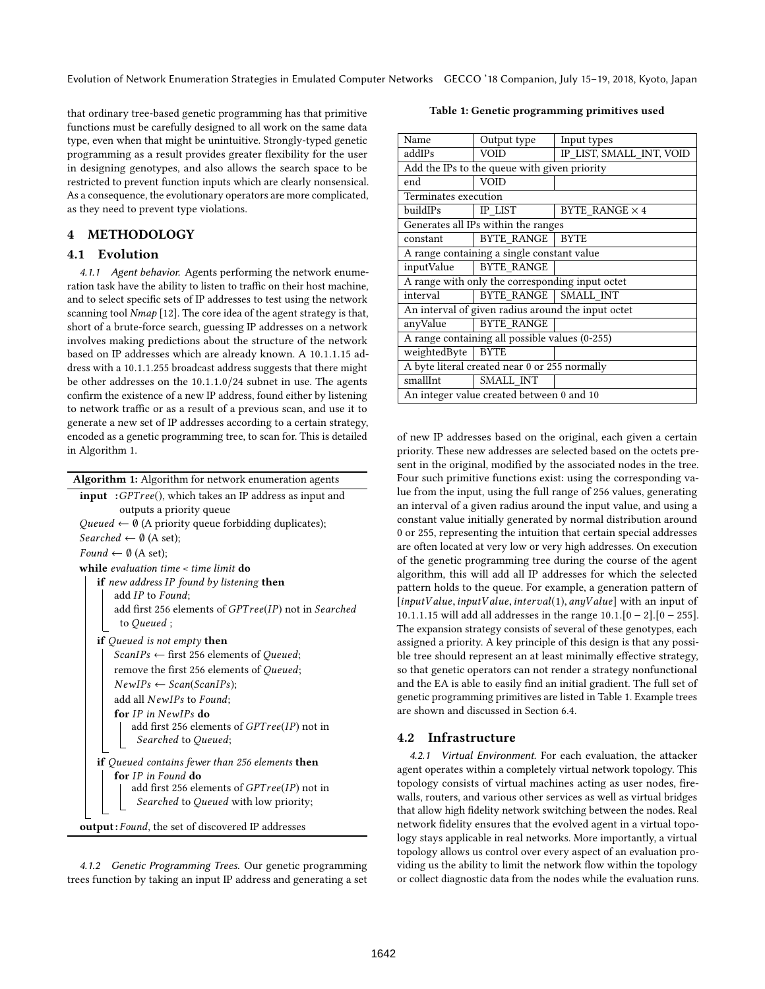Evolution of Network Enumeration Strategies in Emulated Computer Networks GECCO '18 Companion, July 15–19, 2018, Kyoto, Japan

that ordinary tree-based genetic programming has that primitive functions must be carefully designed to all work on the same data type, even when that might be unintuitive. Strongly-typed genetic programming as a result provides greater flexibility for the user in designing genotypes, and also allows the search space to be restricted to prevent function inputs which are clearly nonsensical. As a consequence, the evolutionary operators are more complicated, as they need to prevent type violations.

## 4 METHODOLOGY

#### 4.1 Evolution

4.1.1 Agent behavior. Agents performing the network enumeration task have the ability to listen to traffic on their host machine, and to select specific sets of IP addresses to test using the network scanning tool Nmap [\[12\]](#page-8-13). The core idea of the agent strategy is that, short of a brute-force search, guessing IP addresses on a network involves making predictions about the structure of the network based on IP addresses which are already known. A <sup>10</sup>.1.1.<sup>15</sup> address with a <sup>10</sup>.1.1.<sup>255</sup> broadcast address suggests that there might be other addresses on the <sup>10</sup>.1.1.0/<sup>24</sup> subnet in use. The agents confirm the existence of a new IP address, found either by listening to network traffic or as a result of a previous scan, and use it to generate a new set of IP addresses according to a certain strategy, encoded as a genetic programming tree, to scan for. This is detailed in Algorithm [1.](#page-3-0)

| Algorithm 1: Algorithm for network enumeration agents                   |  |  |
|-------------------------------------------------------------------------|--|--|
| input : GPTree(), which takes an IP address as input and                |  |  |
| outputs a priority queue                                                |  |  |
| Queued $\leftarrow \emptyset$ (A priority queue forbidding duplicates); |  |  |
| <i>Searched</i> $\leftarrow \emptyset$ (A set);                         |  |  |
| Found $\leftarrow \emptyset$ (A set);                                   |  |  |
| while evaluation time $\epsilon$ time limit do                          |  |  |
| if new address IP found by listening then                               |  |  |
| add IP to Found;                                                        |  |  |
| add first 256 elements of GPTree(IP) not in Searched                    |  |  |
| to Queued ;                                                             |  |  |
| if Queued is not empty then                                             |  |  |
| <i>ScanIPs</i> $\leftarrow$ first 256 elements of <i>Queued</i> ;       |  |  |
| remove the first 256 elements of Queued;                                |  |  |
| $NewIPS \leftarrow \text{Scan}(ScanIPS);$                               |  |  |
| add all NewIPs to Found:                                                |  |  |
| for IP in NewIPs do                                                     |  |  |
| add first 256 elements of $GPTree(ID)$ not in                           |  |  |
| Searched to Queued;                                                     |  |  |
| <b>if</b> Queued contains fewer than 256 elements <b>then</b>           |  |  |
| for IP in Found do                                                      |  |  |
| add first 256 elements of $GPTree(ID)$ not in                           |  |  |
| Searched to Queued with low priority;                                   |  |  |
|                                                                         |  |  |
| output: Found, the set of discovered IP addresses                       |  |  |

<span id="page-3-0"></span>4.1.2 Genetic Programming Trees. Our genetic programming trees function by taking an input IP address and generating a set

<span id="page-3-1"></span>Table 1: Genetic programming primitives used

| Name                                               | Output type            | Input types              |  |  |
|----------------------------------------------------|------------------------|--------------------------|--|--|
| addIPs                                             | VOID                   | IP_LIST, SMALL_INT, VOID |  |  |
| Add the IPs to the queue with given priority       |                        |                          |  |  |
| end                                                | <b>VOID</b>            |                          |  |  |
| Terminates execution                               |                        |                          |  |  |
| buildIPs                                           | IP LIST                | BYTE RANGE $\times$ 4    |  |  |
| Generates all IPs within the ranges                |                        |                          |  |  |
| constant                                           | BYTE_RANGE             | <b>BYTE</b>              |  |  |
| A range containing a single constant value         |                        |                          |  |  |
| inputValue                                         | <b>BYTE RANGE</b>      |                          |  |  |
| A range with only the corresponding input octet    |                        |                          |  |  |
| interval                                           | BYTE_RANGE   SMALL INT |                          |  |  |
| An interval of given radius around the input octet |                        |                          |  |  |
| anyValue                                           | BYTE_RANGE             |                          |  |  |
| A range containing all possible values (0-255)     |                        |                          |  |  |
| weightedByte                                       | <b>BYTE</b>            |                          |  |  |
| A byte literal created near 0 or 255 normally      |                        |                          |  |  |
| smallInt                                           | SMALL INT              |                          |  |  |
| An integer value created between 0 and 10          |                        |                          |  |  |
|                                                    |                        |                          |  |  |

of new IP addresses based on the original, each given a certain priority. These new addresses are selected based on the octets present in the original, modified by the associated nodes in the tree. Four such primitive functions exist: using the corresponding value from the input, using the full range of 256 values, generating an interval of a given radius around the input value, and using a constant value initially generated by normal distribution around 0 or 255, representing the intuition that certain special addresses are often located at very low or very high addresses. On execution of the genetic programming tree during the course of the agent algorithm, this will add all IP addresses for which the selected pattern holds to the queue. For example, a generation pattern of  $[inputValue, inputValue, interval(1), anyValue]$  with an input of <sup>10</sup>.1.1.<sup>15</sup> will add all addresses in the range <sup>10</sup>.1.[<sup>0</sup> <sup>−</sup> <sup>2</sup>].[<sup>0</sup> <sup>−</sup> <sup>255</sup>]. The expansion strategy consists of several of these genotypes, each assigned a priority. A key principle of this design is that any possible tree should represent an at least minimally effective strategy, so that genetic operators can not render a strategy nonfunctional and the EA is able to easily find an initial gradient. The full set of genetic programming primitives are listed in Table [1.](#page-3-1) Example trees are shown and discussed in Section [6.4.](#page-6-0)

#### 4.2 Infrastructure

4.2.1 Virtual Environment. For each evaluation, the attacker agent operates within a completely virtual network topology. This topology consists of virtual machines acting as user nodes, firewalls, routers, and various other services as well as virtual bridges that allow high fidelity network switching between the nodes. Real network fidelity ensures that the evolved agent in a virtual topology stays applicable in real networks. More importantly, a virtual topology allows us control over every aspect of an evaluation providing us the ability to limit the network flow within the topology or collect diagnostic data from the nodes while the evaluation runs.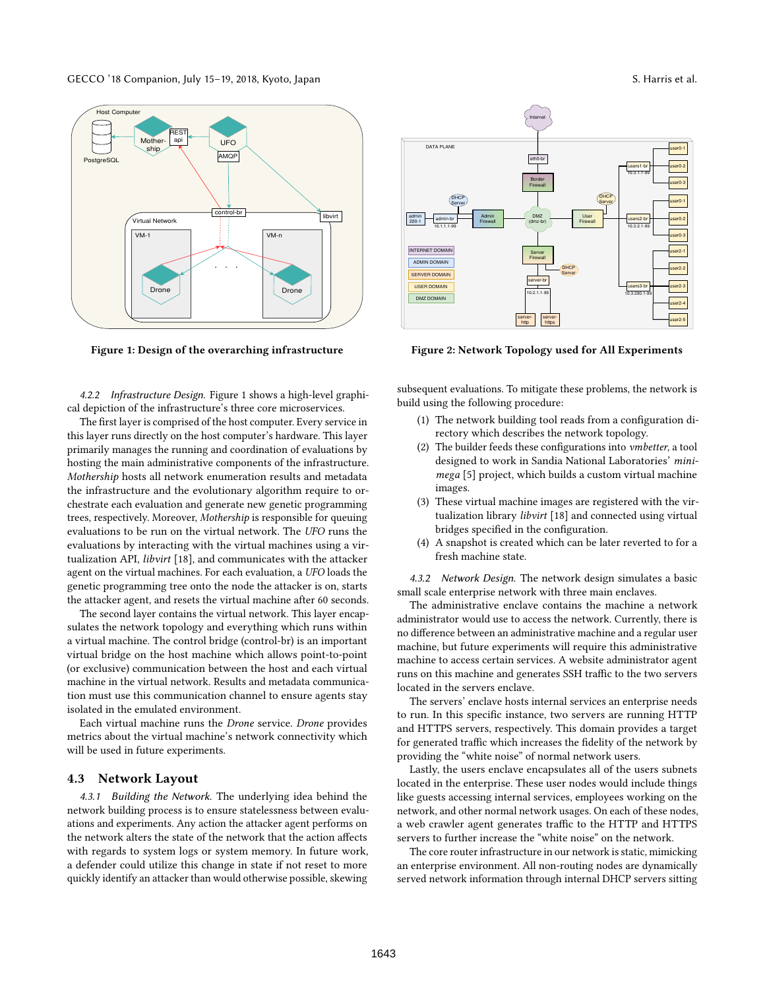GECCO '18 Companion, July 15-19, 2018, Kyoto, Japan S. Harris et al. S. Harris et al.

<span id="page-4-0"></span>

Figure 1: Design of the overarching infrastructure

4.2.2 Infrastructure Design. Figure [1](#page-4-0) shows a high-level graphical depiction of the infrastructure's three core microservices.

The first layer is comprised of the host computer. Every service in this layer runs directly on the host computer's hardware. This layer primarily manages the running and coordination of evaluations by hosting the main administrative components of the infrastructure. Mothership hosts all network enumeration results and metadata the infrastructure and the evolutionary algorithm require to orchestrate each evaluation and generate new genetic programming trees, respectively. Moreover, Mothership is responsible for queuing evaluations to be run on the virtual network. The UFO runs the evaluations by interacting with the virtual machines using a virtualization API, libvirt [\[18\]](#page-8-14), and communicates with the attacker agent on the virtual machines. For each evaluation, a UFO loads the genetic programming tree onto the node the attacker is on, starts the attacker agent, and resets the virtual machine after 60 seconds.

The second layer contains the virtual network. This layer encapsulates the network topology and everything which runs within a virtual machine. The control bridge (control-br) is an important virtual bridge on the host machine which allows point-to-point (or exclusive) communication between the host and each virtual machine in the virtual network. Results and metadata communication must use this communication channel to ensure agents stay isolated in the emulated environment.

Each virtual machine runs the Drone service. Drone provides metrics about the virtual machine's network connectivity which will be used in future experiments.

#### 4.3 Network Layout

4.3.1 Building the Network. The underlying idea behind the network building process is to ensure statelessness between evaluations and experiments. Any action the attacker agent performs on the network alters the state of the network that the action affects with regards to system logs or system memory. In future work, a defender could utilize this change in state if not reset to more quickly identify an attacker than would otherwise possible, skewing



Figure 2: Network Topology used for All Experiments

subsequent evaluations. To mitigate these problems, the network is build using the following procedure:

- (1) The network building tool reads from a configuration directory which describes the network topology.
- (2) The builder feeds these configurations into vmbetter, a tool designed to work in Sandia National Laboratories' minimega [\[5\]](#page-8-15) project, which builds a custom virtual machine images.
- (3) These virtual machine images are registered with the virtualization library *libvirt* [\[18\]](#page-8-14) and connected using virtual bridges specified in the configuration.
- (4) A snapshot is created which can be later reverted to for a fresh machine state.

4.3.2 Network Design. The network design simulates a basic small scale enterprise network with three main enclaves.

The administrative enclave contains the machine a network administrator would use to access the network. Currently, there is no difference between an administrative machine and a regular user machine, but future experiments will require this administrative machine to access certain services. A website administrator agent runs on this machine and generates SSH traffic to the two servers located in the servers enclave.

The servers' enclave hosts internal services an enterprise needs to run. In this specific instance, two servers are running HTTP and HTTPS servers, respectively. This domain provides a target for generated traffic which increases the fidelity of the network by providing the "white noise" of normal network users.

Lastly, the users enclave encapsulates all of the users subnets located in the enterprise. These user nodes would include things like guests accessing internal services, employees working on the network, and other normal network usages. On each of these nodes, a web crawler agent generates traffic to the HTTP and HTTPS servers to further increase the "white noise" on the network.

The core router infrastructure in our network is static, mimicking an enterprise environment. All non-routing nodes are dynamically served network information through internal DHCP servers sitting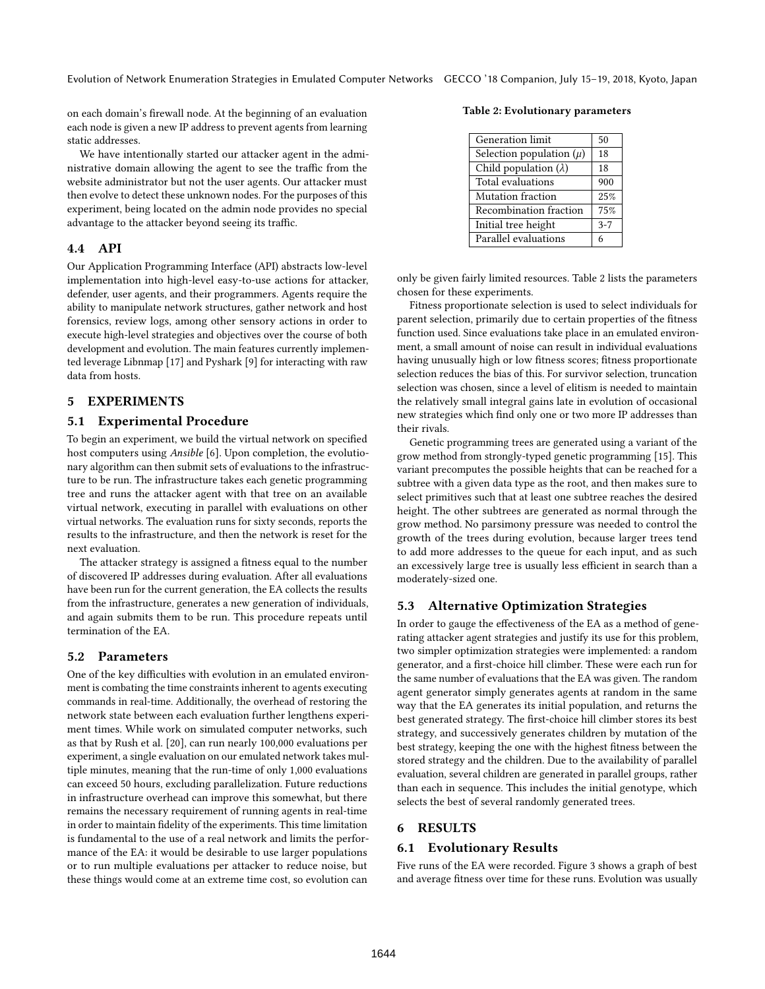Evolution of Network Enumeration Strategies in Emulated Computer Networks GECCO '18 Companion, July 15–19, 2018, Kyoto, Japan

on each domain's firewall node. At the beginning of an evaluation each node is given a new IP address to prevent agents from learning static addresses.

We have intentionally started our attacker agent in the administrative domain allowing the agent to see the traffic from the website administrator but not the user agents. Our attacker must then evolve to detect these unknown nodes. For the purposes of this experiment, being located on the admin node provides no special advantage to the attacker beyond seeing its traffic.

## 4.4 API

Our Application Programming Interface (API) abstracts low-level implementation into high-level easy-to-use actions for attacker, defender, user agents, and their programmers. Agents require the ability to manipulate network structures, gather network and host forensics, review logs, among other sensory actions in order to execute high-level strategies and objectives over the course of both development and evolution. The main features currently implemented leverage Libnmap [\[17\]](#page-8-16) and Pyshark [\[9\]](#page-8-17) for interacting with raw data from hosts.

## 5 EXPERIMENTS

#### 5.1 Experimental Procedure

To begin an experiment, we build the virtual network on specified host computers using Ansible [\[6\]](#page-8-18). Upon completion, the evolutionary algorithm can then submit sets of evaluations to the infrastructure to be run. The infrastructure takes each genetic programming tree and runs the attacker agent with that tree on an available virtual network, executing in parallel with evaluations on other virtual networks. The evaluation runs for sixty seconds, reports the results to the infrastructure, and then the network is reset for the next evaluation.

The attacker strategy is assigned a fitness equal to the number of discovered IP addresses during evaluation. After all evaluations have been run for the current generation, the EA collects the results from the infrastructure, generates a new generation of individuals, and again submits them to be run. This procedure repeats until termination of the EA.

#### 5.2 Parameters

One of the key difficulties with evolution in an emulated environment is combating the time constraints inherent to agents executing commands in real-time. Additionally, the overhead of restoring the network state between each evaluation further lengthens experiment times. While work on simulated computer networks, such as that by Rush et al. [\[20\]](#page-8-4), can run nearly 100,000 evaluations per experiment, a single evaluation on our emulated network takes multiple minutes, meaning that the run-time of only 1,000 evaluations can exceed 50 hours, excluding parallelization. Future reductions in infrastructure overhead can improve this somewhat, but there remains the necessary requirement of running agents in real-time in order to maintain fidelity of the experiments. This time limitation is fundamental to the use of a real network and limits the performance of the EA: it would be desirable to use larger populations or to run multiple evaluations per attacker to reduce noise, but these things would come at an extreme time cost, so evolution can

#### <span id="page-5-0"></span>Table 2: Evolutionary parameters

| <b>Generation</b> limit      | 50      |
|------------------------------|---------|
| Selection population $(\mu)$ | 18      |
| Child population $(\lambda)$ | 18      |
| Total evaluations            | 900     |
| Mutation fraction            | 25%     |
| Recombination fraction       | 75%     |
| Initial tree height          | $3 - 7$ |
| Parallel evaluations         | 6       |

only be given fairly limited resources. Table [2](#page-5-0) lists the parameters chosen for these experiments.

Fitness proportionate selection is used to select individuals for parent selection, primarily due to certain properties of the fitness function used. Since evaluations take place in an emulated environment, a small amount of noise can result in individual evaluations having unusually high or low fitness scores; fitness proportionate selection reduces the bias of this. For survivor selection, truncation selection was chosen, since a level of elitism is needed to maintain the relatively small integral gains late in evolution of occasional new strategies which find only one or two more IP addresses than their rivals.

Genetic programming trees are generated using a variant of the grow method from strongly-typed genetic programming [\[15\]](#page-8-12). This variant precomputes the possible heights that can be reached for a subtree with a given data type as the root, and then makes sure to select primitives such that at least one subtree reaches the desired height. The other subtrees are generated as normal through the grow method. No parsimony pressure was needed to control the growth of the trees during evolution, because larger trees tend to add more addresses to the queue for each input, and as such an excessively large tree is usually less efficient in search than a moderately-sized one.

#### 5.3 Alternative Optimization Strategies

In order to gauge the effectiveness of the EA as a method of generating attacker agent strategies and justify its use for this problem, two simpler optimization strategies were implemented: a random generator, and a first-choice hill climber. These were each run for the same number of evaluations that the EA was given. The random agent generator simply generates agents at random in the same way that the EA generates its initial population, and returns the best generated strategy. The first-choice hill climber stores its best strategy, and successively generates children by mutation of the best strategy, keeping the one with the highest fitness between the stored strategy and the children. Due to the availability of parallel evaluation, several children are generated in parallel groups, rather than each in sequence. This includes the initial genotype, which selects the best of several randomly generated trees.

#### 6 RESULTS

#### 6.1 Evolutionary Results

Five runs of the EA were recorded. Figure [3](#page-6-1) shows a graph of best and average fitness over time for these runs. Evolution was usually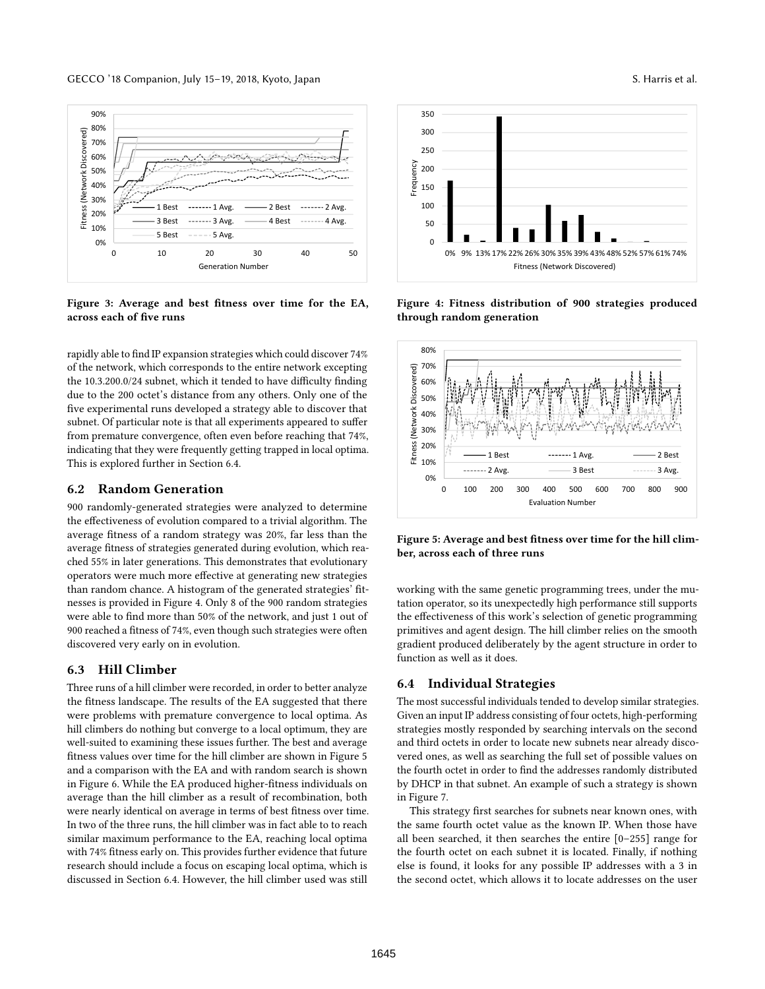<span id="page-6-1"></span>

Figure 3: Average and best fitness over time for the EA, across each of five runs

rapidly able to find IP expansion strategies which could discover 74% of the network, which corresponds to the entire network excepting the 10.3.200.0/24 subnet, which it tended to have difficulty finding due to the 200 octet's distance from any others. Only one of the five experimental runs developed a strategy able to discover that subnet. Of particular note is that all experiments appeared to suffer from premature convergence, often even before reaching that 74%, indicating that they were frequently getting trapped in local optima. This is explored further in Section [6.4.](#page-6-0)

#### 6.2 Random Generation

900 randomly-generated strategies were analyzed to determine the effectiveness of evolution compared to a trivial algorithm. The average fitness of a random strategy was 20%, far less than the average fitness of strategies generated during evolution, which reached 55% in later generations. This demonstrates that evolutionary operators were much more effective at generating new strategies than random chance. A histogram of the generated strategies' fitnesses is provided in Figure [4.](#page-6-2) Only 8 of the 900 random strategies were able to find more than 50% of the network, and just 1 out of 900 reached a fitness of 74%, even though such strategies were often discovered very early on in evolution.

## 6.3 Hill Climber

Three runs of a hill climber were recorded, in order to better analyze the fitness landscape. The results of the EA suggested that there were problems with premature convergence to local optima. As hill climbers do nothing but converge to a local optimum, they are well-suited to examining these issues further. The best and average fitness values over time for the hill climber are shown in Figure [5](#page-6-3) and a comparison with the EA and with random search is shown in Figure [6.](#page-7-0) While the EA produced higher-fitness individuals on average than the hill climber as a result of recombination, both were nearly identical on average in terms of best fitness over time. In two of the three runs, the hill climber was in fact able to to reach similar maximum performance to the EA, reaching local optima with 74% fitness early on. This provides further evidence that future research should include a focus on escaping local optima, which is discussed in Section [6.4.](#page-6-0) However, the hill climber used was still

<span id="page-6-2"></span>

Figure 4: Fitness distribution of 900 strategies produced through random generation

<span id="page-6-3"></span>

Figure 5: Average and best fitness over time for the hill climber, across each of three runs

working with the same genetic programming trees, under the mutation operator, so its unexpectedly high performance still supports the effectiveness of this work's selection of genetic programming primitives and agent design. The hill climber relies on the smooth gradient produced deliberately by the agent structure in order to function as well as it does.

#### <span id="page-6-0"></span>6.4 Individual Strategies

The most successful individuals tended to develop similar strategies. Given an input IP address consisting of four octets, high-performing strategies mostly responded by searching intervals on the second and third octets in order to locate new subnets near already discovered ones, as well as searching the full set of possible values on the fourth octet in order to find the addresses randomly distributed by DHCP in that subnet. An example of such a strategy is shown in Figure [7.](#page-7-1)

This strategy first searches for subnets near known ones, with the same fourth octet value as the known IP. When those have all been searched, it then searches the entire [0–255] range for the fourth octet on each subnet it is located. Finally, if nothing else is found, it looks for any possible IP addresses with a 3 in the second octet, which allows it to locate addresses on the user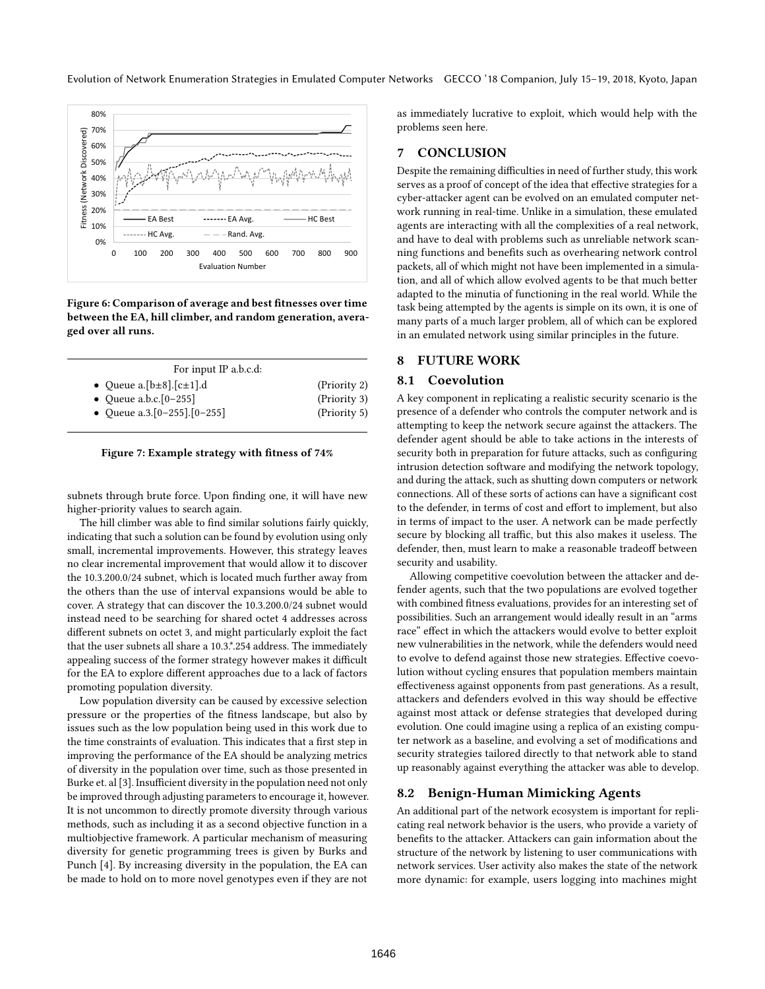<span id="page-7-0"></span>

Figure 6: Comparison of average and best fitnesses over time between the EA, hill climber, and random generation, averaged over all runs.

<span id="page-7-1"></span>

| For input IP a.b.c.d:                  |              |
|----------------------------------------|--------------|
| • Queue a. [ $b\pm8$ ]. [ $c\pm1$ ]. d | (Priority 2) |
| • Oueue a.b.c. $[0-255]$               | (Priority 3) |
| • Queue a.3. $[0-255]$ . $[0-255]$     | (Priority 5) |



subnets through brute force. Upon finding one, it will have new higher-priority values to search again.

The hill climber was able to find similar solutions fairly quickly, indicating that such a solution can be found by evolution using only small, incremental improvements. However, this strategy leaves no clear incremental improvement that would allow it to discover the 10.3.200.0/24 subnet, which is located much further away from the others than the use of interval expansions would be able to cover. A strategy that can discover the 10.3.200.0/24 subnet would instead need to be searching for shared octet 4 addresses across different subnets on octet 3, and might particularly exploit the fact that the user subnets all share a 10.3.\*.254 address. The immediately appealing success of the former strategy however makes it difficult for the EA to explore different approaches due to a lack of factors promoting population diversity.

Low population diversity can be caused by excessive selection pressure or the properties of the fitness landscape, but also by issues such as the low population being used in this work due to the time constraints of evaluation. This indicates that a first step in improving the performance of the EA should be analyzing metrics of diversity in the population over time, such as those presented in Burke et. al [\[3\]](#page-8-19). Insufficient diversity in the population need not only be improved through adjusting parameters to encourage it, however. It is not uncommon to directly promote diversity through various methods, such as including it as a second objective function in a multiobjective framework. A particular mechanism of measuring diversity for genetic programming trees is given by Burks and Punch [\[4\]](#page-8-20). By increasing diversity in the population, the EA can be made to hold on to more novel genotypes even if they are not

as immediately lucrative to exploit, which would help with the problems seen here.

#### 7 CONCLUSION

Despite the remaining difficulties in need of further study, this work serves as a proof of concept of the idea that effective strategies for a cyber-attacker agent can be evolved on an emulated computer network running in real-time. Unlike in a simulation, these emulated agents are interacting with all the complexities of a real network, and have to deal with problems such as unreliable network scanning functions and benefits such as overhearing network control packets, all of which might not have been implemented in a simulation, and all of which allow evolved agents to be that much better adapted to the minutia of functioning in the real world. While the task being attempted by the agents is simple on its own, it is one of many parts of a much larger problem, all of which can be explored in an emulated network using similar principles in the future.

## 8 FUTURE WORK

#### 8.1 Coevolution

A key component in replicating a realistic security scenario is the presence of a defender who controls the computer network and is attempting to keep the network secure against the attackers. The defender agent should be able to take actions in the interests of security both in preparation for future attacks, such as configuring intrusion detection software and modifying the network topology, and during the attack, such as shutting down computers or network connections. All of these sorts of actions can have a significant cost to the defender, in terms of cost and effort to implement, but also in terms of impact to the user. A network can be made perfectly secure by blocking all traffic, but this also makes it useless. The defender, then, must learn to make a reasonable tradeoff between security and usability.

Allowing competitive coevolution between the attacker and defender agents, such that the two populations are evolved together with combined fitness evaluations, provides for an interesting set of possibilities. Such an arrangement would ideally result in an "arms race" effect in which the attackers would evolve to better exploit new vulnerabilities in the network, while the defenders would need to evolve to defend against those new strategies. Effective coevolution without cycling ensures that population members maintain effectiveness against opponents from past generations. As a result, attackers and defenders evolved in this way should be effective against most attack or defense strategies that developed during evolution. One could imagine using a replica of an existing computer network as a baseline, and evolving a set of modifications and security strategies tailored directly to that network able to stand up reasonably against everything the attacker was able to develop.

#### 8.2 Benign-Human Mimicking Agents

An additional part of the network ecosystem is important for replicating real network behavior is the users, who provide a variety of benefits to the attacker. Attackers can gain information about the structure of the network by listening to user communications with network services. User activity also makes the state of the network more dynamic: for example, users logging into machines might